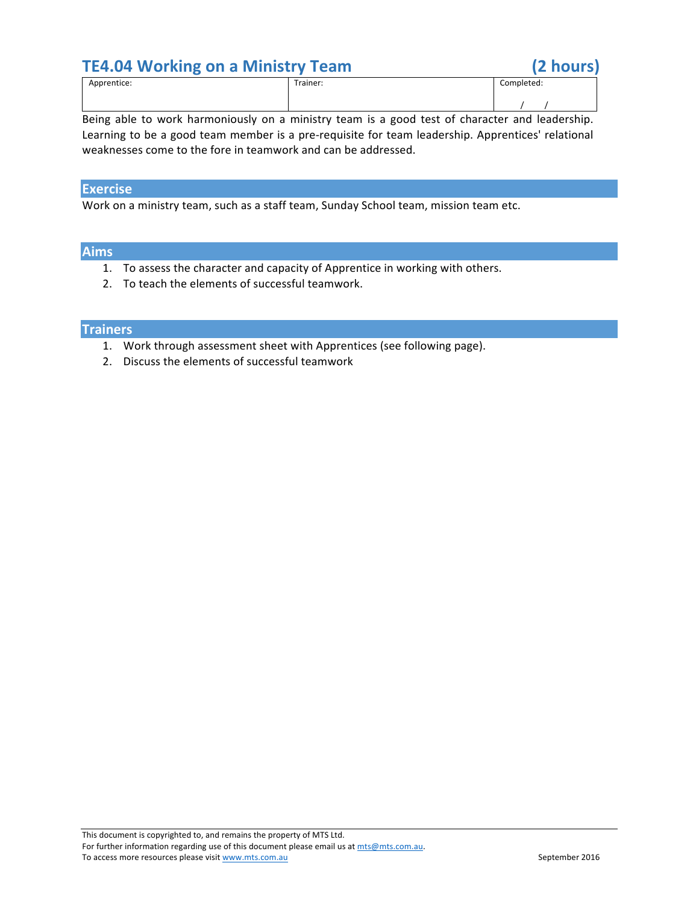

Being able to work harmoniously on a ministry team is a good test of character and leadership. Learning to be a good team member is a pre-requisite for team leadership. Apprentices' relational weaknesses come to the fore in teamwork and can be addressed.

# **Exercise**

Work on a ministry team, such as a staff team, Sunday School team, mission team etc.

### **Aims**

- 1. To assess the character and capacity of Apprentice in working with others.
- 2. To teach the elements of successful teamwork.

# **Trainers**

- 1. Work through assessment sheet with Apprentices (see following page).
- 2. Discuss the elements of successful teamwork